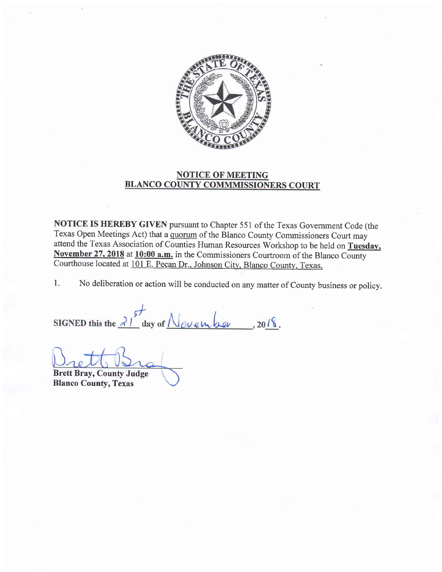

## NOTICE OF MEETING BLANCO COUNTY COMMMISSIONERS COURT

NOTICE IS HEREBY GIVEN pursuant to Chapter 551 of the Texas Government Code (the Texas Open Meetings Act) that a quorum of the Blanco County Commissioners Court may attend the Texas Association of Counties Human Resources Workshop to be held on Tuesdav. November 27, 2018 at 10:00 a.m. in the Commissioners Courtroom of the Blanco County courthouse located at 101 E. Pecan Dr.. Johnson citv. Blanco county. Texas.

1. No deliberation or action will be conducted on any matter of County business or policy.

SIGNED this the  $\frac{3!}{4}$  day of November, 2018.

Brett Bray, County Judge Blanco County, Texas